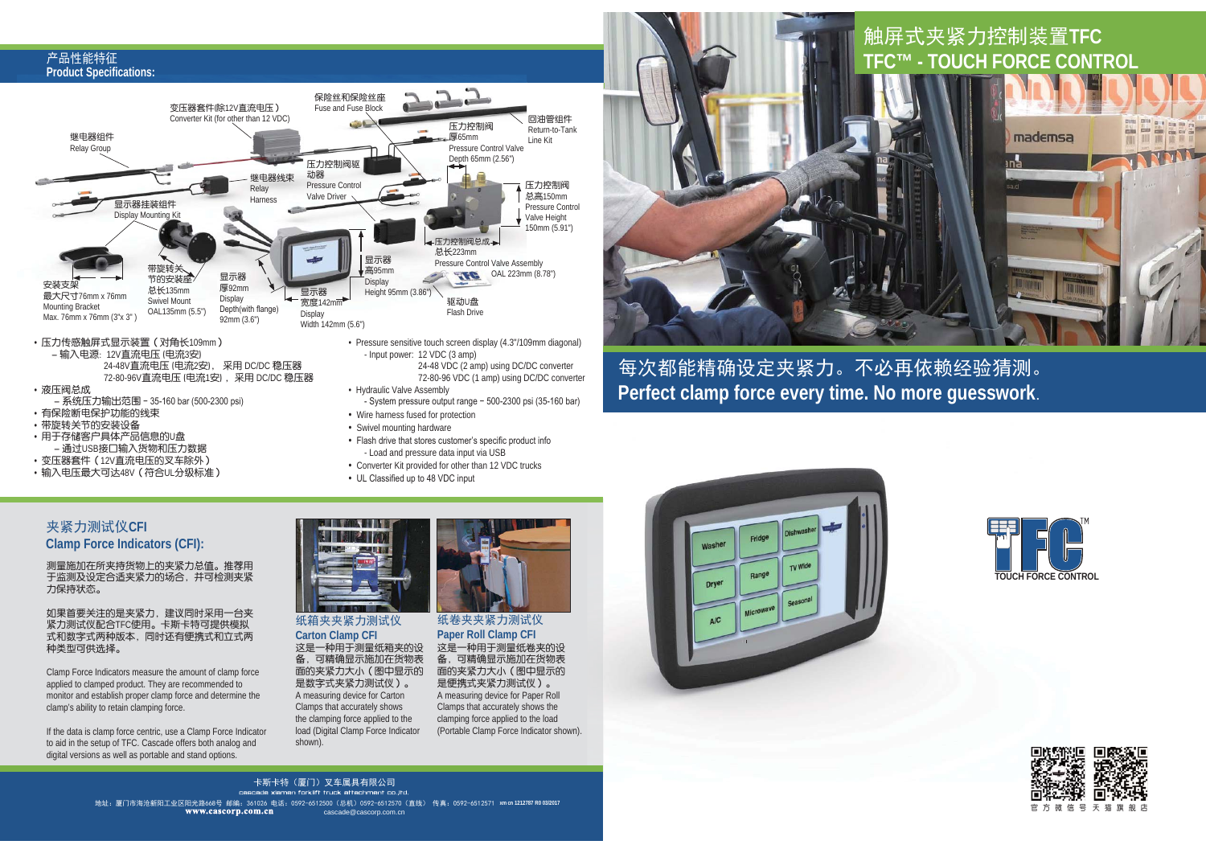#### 产品性能特征 **Product Specifications: Product**



- 系统压力输出范围 35-160 bar (500-2300 psi)
- · 有保险断电保护功能的线束
- · 带旋转关节的安装设备
- 用于存储客户具体产品信息的U盘 - 通过USB接口输入货物和压力数据
- 变压器套件 (12V直流电压的叉车除外 )
- ·输入电压最大可达48V (符合UL分级标准)
- 72-80-96 VDC (1 amp) using DC/DC converter
- System pressure output range 500-2300 psi (35-160 bar)
- Wire harness fused for protection
- Swivel mounting hardware
- Flash drive that stores customer's specific product info - Load and pressure data input via USB
- Converter Kit provided for other than 12 VDC trucks
- UL Classified up to 48 VDC input



<u>触屏式夹紧力控制装置TFC</u>

### 每次都能精确设定夹紧力。不必再依赖经验猜测。 **Perfect clamp force every time. No more guesswork**.



测量施加在所夹持货物上的夹紧力总值。推荐用 于监测及设定合适夹紧力的场合,并可检测夹紧 力保持状态。

如果首要关注的是夹紧力,建议同时采用一台夹 紧力测试仪配合TFC使用。卡斯卡特可提供模拟 式和数字式两种版本,同时还有便携式和立式两 种类型可供选择。

Clamp Force Indicators measure the amount of clamp force applied to clamped product. They are recommended to monitor and establish proper clamp force and determine the clamp's ability to retain clamping force.

If the data is clamp force centric, use a Clamp Force Indicator to aid in the setup of TFC. Cascade offers both analog and digital versions as well as portable and stand options.



#### 纸箱夹夹紧力测试仪 **Carton Clamp CFI**

这是一种用于测量纸箱夹的设 备,可精确显示施加在货物表 面的夹紧力大小(图中显示的 是数字式夹紧力测试仪)。 A measuring device for Carton Clamps that accurately shows the clamping force applied to the load (Digital Clamp Force Indicator shown).



这是一种用于测量纸卷夹的设 备,可精确显示施加在货物表 面的夹紧力大小(图中显示的 是便携式夹紧力测试仪)。 A measuring device for Paper Roll Clamps that accurately shows the clamping force applied to the load (Portable Clamp Force Indicator shown).







地址:厦门市海沧新阳工业区阳光路668号 邮编:361026 电话:0592-6512500(总机)0592-6512570(直线) 传真:0592-6512571 xmcn1212787 R003/2017 卡斯卡特(厦门)叉车属具有限公司 cascade xiamen forklift truck attachment co.ltd cascade@cascorp.com.cn